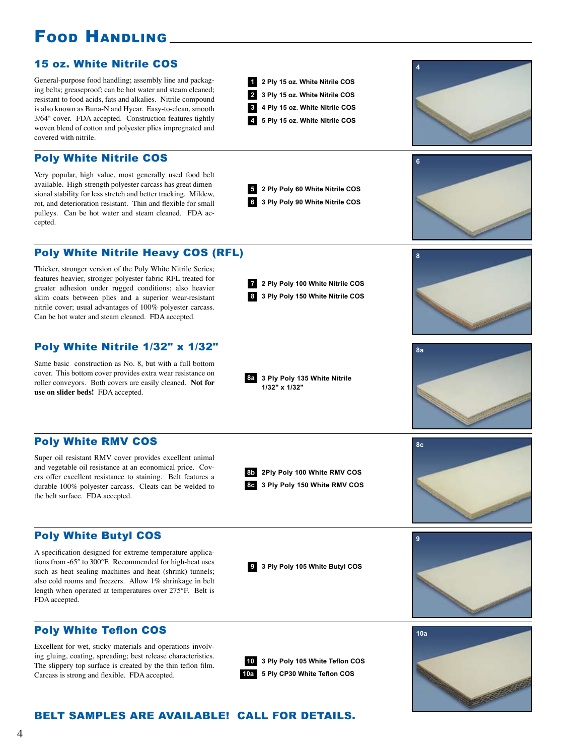# Food Handling

# 15 oz. White Nitrile COS

General-purpose food handling; assembly line and packaging belts; greaseproof; can be hot water and steam cleaned; resistant to food acids, fats and alkalies. Nitrile compound is also known as Buna-N and Hycar. Easy-to-clean, smooth 3/64" cover. FDA accepted. Construction features tightly woven blend of cotton and polyester plies impregnated and covered with nitrile.

## Poly White Nitrile COS

Very popular, high value, most generally used food belt available. High-strength polyester carcass has great dimensional stability for less stretch and better tracking. Mildew, rot, and deterioration resistant. Thin and flexible for small pulleys. Can be hot water and steam cleaned. FDA accepted.

Poly White Nitrile Heavy COS (RFL)

Thicker, stronger version of the Poly White Nitrile Series; features heavier, stronger polyester fabric RFL treated for greater adhesion under rugged conditions; also heavier skim coats between plies and a superior wear-resistant nitrile cover; usual advantages of 100% polyester carcass. Can be hot water and steam cleaned. FDA accepted.

# Poly White Nitrile 1/32" x 1/32"

Same basic construction as No. 8, but with a full bottom cover. This bottom cover provides extra wear resistance on roller conveyors. Both covers are easily cleaned. **Not for use on slider beds!** FDA accepted.

## Poly White RMV COS

Super oil resistant RMV cover provides excellent animal and vegetable oil resistance at an economical price. Covers offer excellent resistance to staining. Belt features a durable 100% polyester carcass. Cleats can be welded to the belt surface. FDA accepted.

## Poly White Butyl COS

A specification designed for extreme temperature applications from -65° to 300°F. Recommended for high-heat uses such as heat sealing machines and heat (shrink) tunnels; also cold rooms and freezers. Allow 1% shrinkage in belt length when operated at temperatures over 275°F. Belt is FDA accepted.

# Poly White Teflon COS

Excellent for wet, sticky materials and operations involving gluing, coating, spreading; best release characteristics. The slippery top surface is created by the thin teflon film. Carcass is strong and flexible. FDA accepted.

**6 3 Ply Poly 90 White Nitrile COS 5 2 Ply Poly 60 White Nitrile COS 7 2 Ply Poly 100 White Nitrile COS** **6**

**4**

**8**

**8a**

**8c**

**9**

 **5 Ply 15 oz. White Nitrile COS 4 Ply 15 oz. White Nitrile COS 3 Ply 15 oz. White Nitrile COS 2 Ply 15 oz. White Nitrile COS**

**8 3 Ply Poly 150 White Nitrile COS**

**1/32" x 1/32"**

**8a 3 Ply Poly 135 White Nitrile**



**10a 5 Ply CP30 White Teflon COS 10 3 Ply Poly 105 White Teflon COS**

**9 3 Ply Poly 105 White Butyl COS**

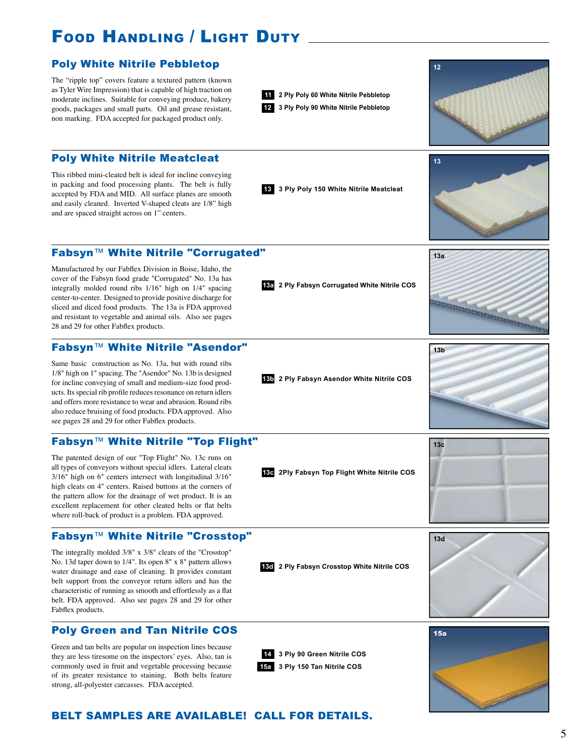# FOOD HANDLING / LIGHT DUTY



### Fabsyn™ White Nitrile "Corrugated"

Manufactured by our Fabflex Division in Boise, Idaho, the cover of the Fabsyn food grade "Corrugated" No. 13a has integrally molded round ribs 1/16" high on 1/4" spacing center-to-center. Designed to provide positive discharge for sliced and diced food products. The 13a is FDA approved and resistant to vegetable and animal oils. Also see pages 28 and 29 for other Fabflex products.

#### Fabsyn™ White Nitrile "Asendor"

Same basic construction as No. 13a, but with round ribs 1/8" high on 1" spacing. The "Asendor" No. 13b is designed for incline conveying of small and medium-size food products. Its special rib profile reduces resonance on return idlers and offers more resistance to wear and abrasion. Round ribs also reduce bruising of food products. FDA approved. Also see pages 28 and 29 for other Fabflex products.

#### Fabsyn™ White Nitrile "Top Flight"

The patented design of our "Top Flight" No. 13c runs on all types of conveyors without special idlers. Lateral cleats 3/16" high on 6" centers intersect with longitudinal 3/16" high cleats on 4" centers. Raised buttons at the corners of the pattern allow for the drainage of wet product. It is an excellent replacement for other cleated belts or flat belts where roll-back of product is a problem. FDA approved.

## Fabsyn™ White Nitrile "Crosstop"

The integrally molded 3/8" x 3/8" cleats of the "Crosstop" No. 13d taper down to 1/4". Its open 8" x 8" pattern allows water drainage and ease of cleaning. It provides constant belt support from the conveyor return idlers and has the characteristic of running as smooth and effortlessly as a flat belt. FDA approved. Also see pages 28 and 29 for other Fabflex products.

## Poly Green and Tan Nitrile COS

Green and tan belts are popular on inspection lines because they are less tiresome on the inspectors' eyes. Also, tan is commonly used in fruit and vegetable processing because of its greater resistance to staining. Both belts feature strong, all-polyester carcasses. FDA accepted.

**13a 2 Ply Fabsyn Corrugated White Nitrile COS**



**13c 2Ply Fabsyn Top Flight White Nitrile COS**



**13a**

**13b**

**13d 2 Ply Fabsyn Crosstop White Nitrile COS**

**3 Ply 150 Tan Nitrile COS 15a 3 Ply 90 Green Nitrile COS 14**



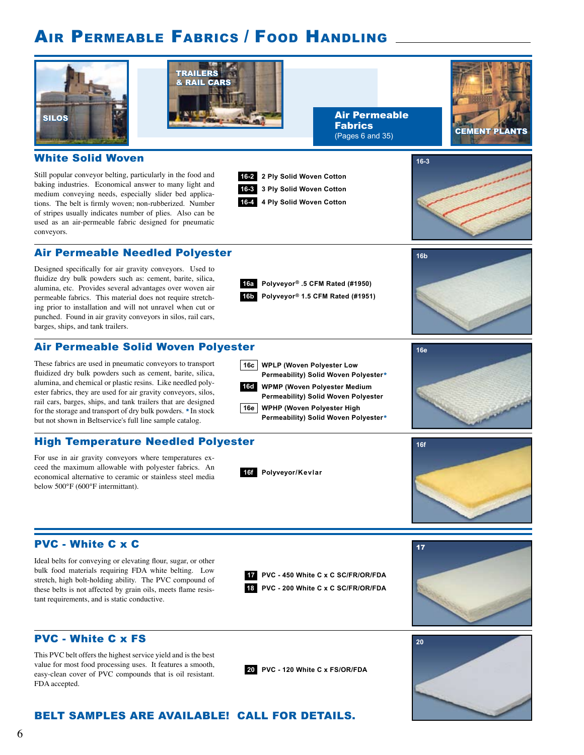# Air Permeable Fabrics / Food Handling